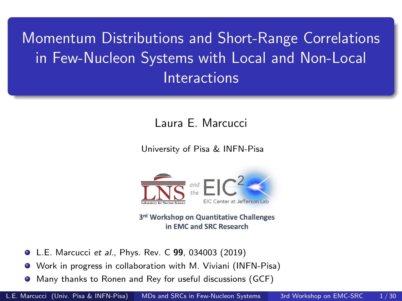<span id="page-0-0"></span>Momentum Distributions and Short-Range Correlations in Few-Nucleon Systems with Local and Non-Local **Interactions** 

Laura E. Marcucci

University of Pisa & INFN-Pisa



3rd Workshop on Quantitative Challenges in EMC and SRC Research

- **O** L.E. Marcucci et al., Phys. Rev. C 99, 034003 (2019)
- Work in progress in collaboration with M. Viviani (INFN-Pisa)
- Many thanks to Ronen and Rey for useful discussions (GCF)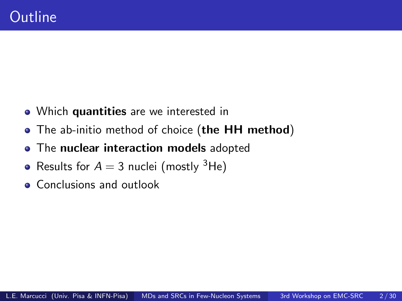- Which quantities are we interested in
- The ab-initio method of choice (the HH method)
- The nuclear interaction models adopted  $\bullet$
- Results for  $A = 3$  nuclei (mostly <sup>3</sup>He)
- **Conclusions and outlook**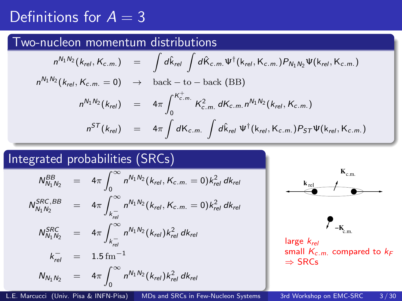### Definitions for  $A = 3$

#### Two-nucleon momentum distributions

$$
n^{N_1 N_2}(k_{rel}, K_{c.m.}) = \int d\hat{k}_{rel} \int d\hat{K}_{c.m.} \Psi^{\dagger}(k_{rel}, K_{c.m.}) P_{N_1 N_2} \Psi(k_{rel}, K_{c.m.})
$$
  
\n
$$
n^{N_1 N_2}(k_{rel}, K_{c.m.} = 0) \rightarrow \text{back} - \text{to} - \text{back (BB)}
$$
  
\n
$$
n^{N_1 N_2}(k_{rel}) = 4\pi \int_0^{K_{c.m.}^+} K_{c.m.}^2 dK_{c.m.} n^{N_1 N_2}(k_{rel}, K_{c.m.})
$$
  
\n
$$
n^{ST}(k_{rel}) = 4\pi \int dK_{c.m.} \int d\hat{k}_{rel} \Psi^{\dagger}(k_{rel}, K_{c.m.}) P_{ST} \Psi(k_{rel}, K_{c.m.})
$$

#### Integrated probabilities (SRCs)

$$
N_{N_1N_2}^{BB} = 4\pi \int_0^\infty n^{N_1N_2} (k_{rel}, K_{c.m.} = 0) k_{rel}^2 dk_{rel}
$$
  
\n
$$
N_{N_1N_2}^{SRC, BB} = 4\pi \int_{k_{rel}}^\infty n^{N_1N_2} (k_{rel}, K_{c.m.} = 0) k_{rel}^2 dk_{rel}
$$
  
\n
$$
N_{N_1N_2}^{SRC} = 4\pi \int_{k_{rel}}^\infty n^{N_1N_2} (k_{rel}) k_{rel}^2 dk_{rel}
$$
  
\n
$$
k_{rel}^{-} = 1.5 \text{ fm}^{-1}
$$
  
\n
$$
N_{N_1N_2} = 4\pi \int_0^\infty n^{N_1N_2} (k_{rel}) k_{rel}^2 dk_{rel}
$$



L.E. Marcucci (Univ. Pisa & INFN-Pisa) [MDs and SRCs in Few-Nucleon Systems](#page-0-0) 3rd Workshop on EMC-SRC 3 / 30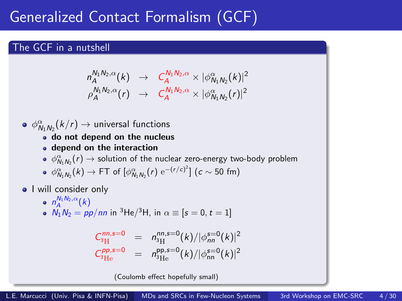### Generalized Contact Formalism (GCF)

#### The GCF in a nutshell

$$
n_A^{N_1 N_2,\alpha}(k) \rightarrow C_A^{N_1 N_2,\alpha} \times |\phi_{N_1 N_2}^{\alpha}(k)|^2
$$
  
\n
$$
\rho_A^{N_1 N_2,\alpha}(r) \rightarrow C_A^{N_1 N_2,\alpha} \times |\phi_{N_1 N_2}^{\alpha}(r)|^2
$$

- $\phi_{\textsf{N}_{1}\textsf{N}_{2}}^{\alpha}(k/r)\rightarrow$  universal functions
	- do not depend on the nucleus
	- depend on the interaction
	- $\phi_{\mathsf{N}_1\mathsf{N}_2}^\alpha(r)\rightarrow$  solution of the nuclear zero-energy two-body problem
	- $\phi_{N_1N_2}^{\alpha}(k) \rightarrow$  FT of  $[\phi_{N_1N_2}^{\alpha}(r)$   $\mathrm{e}^{-(r/c)^2}]$   $(c \sim 50$  fm)
- I will consider only
	- $n_A^{N_1N_2,\alpha}(k)$
	- $N_1N_2 = pp/m$  in <sup>3</sup>He/<sup>3</sup>H, in  $\alpha \equiv [s = 0, t = 1]$

$$
\begin{array}{ccc} C_{3\mathrm{H}}^{nn,s=0} & = & n_{3\mathrm{H}}^{nn,s=0}(k)/|\phi_{nn}^{s=0}(k)|^2\\ C_{3\mathrm{He}}^{pp,s=0} & = & n_{3\mathrm{He}}^{p,s=0}(k)/|\phi_{nn}^{s=0}(k)|^2 \end{array}
$$

(Coulomb effect hopefully small)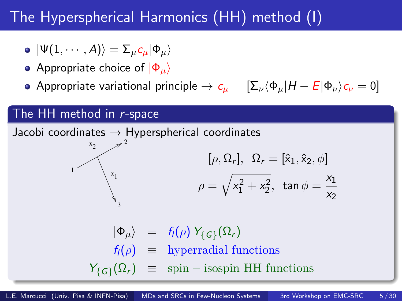### The Hyperspherical Harmonics (HH) method (I)

- $|\Psi(1, \cdots, A)\rangle = \sum_{\mu} c_{\mu} |\Phi_{\mu}\rangle$
- Appropriate choice of  $|\Phi_{\mu}\rangle$
- Appropriate variational principle  $\rightarrow c_{\mu}$

$$
\left[\sum_{\nu}\langle\Phi_{\mu}|H-E|\Phi_{\nu}\rangle_{\mathcal{C}_{\nu}}\right]=0
$$

#### The HH method in r-space

Jacobi coordinates  $\rightarrow$  Hyperspherical coordinates  $1<sup>1</sup>$  $x_{\alpha}$  $x_{1}$ 2 1 3 2  $[\rho, \Omega_r], \ \Omega_r = [\hat{x}_1, \hat{x}_2, \phi]$  $\rho = \sqrt{x_1^2 + x_2^2}$ , tan  $\phi = \frac{x_1}{x_2}$  $x_2$  $|\Phi_{\mu}\rangle$  =  $f_{l}(\rho) Y_{\{G\}}(\Omega_{r})$  $f_l(\rho) \equiv$  hyperradial functions  $Y_{\{\mathcal{G}\}}(\Omega_r) \equiv \text{spin}-\text{isospin HH}$  functions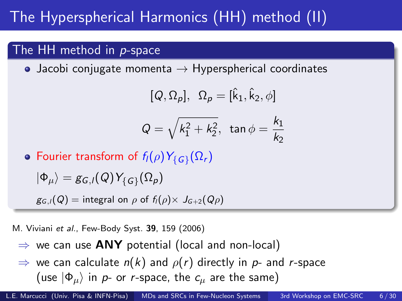# The Hyperspherical Harmonics (HH) method (II)

#### The HH method in p-space

• Jacobi conjugate momenta  $\rightarrow$  Hyperspherical coordinates

$$
[Q, \Omega_p], \ \Omega_p = [\hat{k}_1, \hat{k}_2, \phi]
$$

$$
Q = \sqrt{k_1^2 + k_2^2}, \ \tan \phi = \frac{k_1}{k_2}
$$

Fourier transform of  $f_l(\rho) Y_{\set{G}}(\Omega_r)$ 

$$
|\Phi_\mu\rangle = g_{G,l}(Q)Y_{\{G\}}(\Omega_\rho)
$$

 $g_{G,l}(Q)$  = integral on  $\rho$  of  $f_{l}(\rho) \times J_{G+2}(Q\rho)$ 

M. Viviani et al., Few-Body Syst. 39, 159 (2006)

- $\Rightarrow$  we can use ANY potential (local and non-local)
- $\Rightarrow$  we can calculate  $n(k)$  and  $\rho(r)$  directly in p- and r-space (use  $|\Phi_{\mu}\rangle$  in p- or r-space, the  $c_{\mu}$  are the same)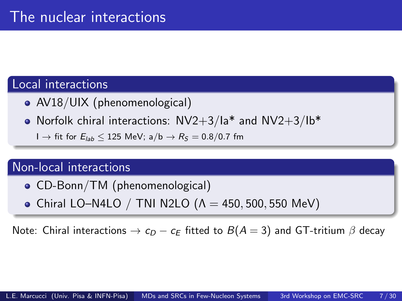#### Local interactions

- AV18/UIX (phenomenological)
- Norfolk chiral interactions:  $NV2+3/1a^*$  and  $NV2+3/1b^*$ 
	- $I \rightarrow$  fit for  $E_{lab}$  ≤ 125 MeV; a/b  $\rightarrow$   $R_S = 0.8/0.7$  fm

#### Non-local interactions

- CD-Bonn/TM (phenomenological)
- Chiral LO–N4LO / TNI N2LO  $(A = 450, 500, 550 \text{ MeV})$

Note: Chiral interactions  $\rightarrow c_D - c_E$  fitted to  $B(A = 3)$  and GT-tritium  $\beta$  decay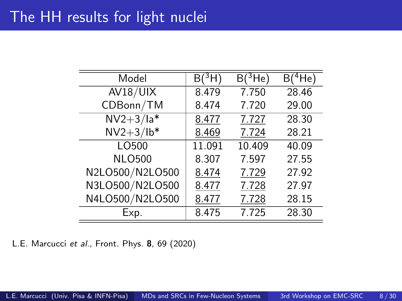| Model           | $B(^3H)$ | $B(^3He)$ | $B(^{4}He)$ |
|-----------------|----------|-----------|-------------|
| AV18/UIX        | 8.479    | 7.750     | 28.46       |
| CDBonn/TM       | 8.474    | 7.720     | 29.00       |
| $NV2+3/la^*$    | 8.477    | 7.727     | 28.30       |
| $NV2+3/lb*$     | 8.469    | 7.724     | 28.21       |
| LO500           | 11.091   | 10.409    | 40.09       |
| <b>NLO500</b>   | 8.307    | 7.597     | 27.55       |
| N2LO500/N2LO500 | 8.474    | 7.729     | 27.92       |
| N3LO500/N2LO500 | 8.477    | 7.728     | 27.97       |
| N4LO500/N2LO500 | 8.477    | 7.728     | 28.15       |
| Exp.            | 8.475    | 7.725     | 28.30       |

L.E. Marcucci et al., Front. Phys. 8, 69 (2020)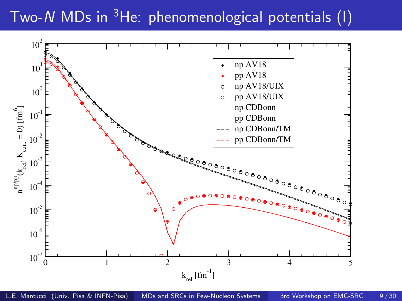# Two-N MDs in  $3$ He: phenomenological potentials (I)

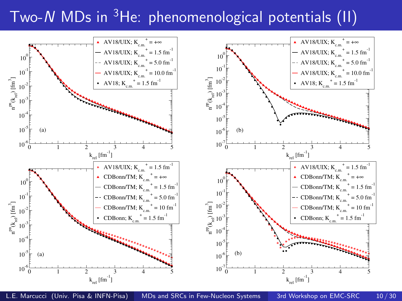# Two-N MDs in  ${}^{3}$ He: phenomenological potentials (II)



L.E. Marcucci (Univ. Pisa & INFN-Pisa) [MDs and SRCs in Few-Nucleon Systems](#page-0-0) 3rd Workshop on EMC-SRC 10/30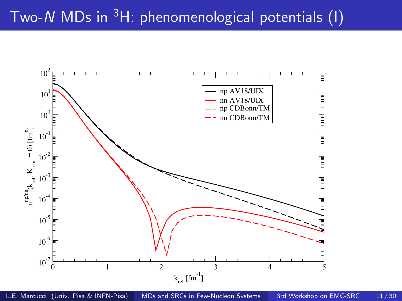# Two-N MDs in <sup>3</sup>H: phenomenological potentials (I)

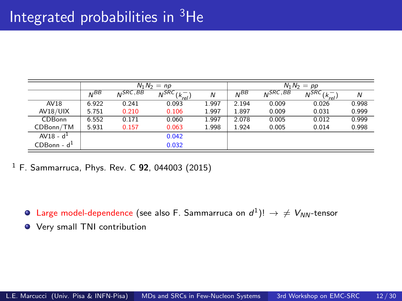## Integrated probabilities in <sup>3</sup>He

|                   | $N_1 N_2 = np$ |                 |                             | $N_1 N_2 = pp$ |                 |              |                          |       |
|-------------------|----------------|-----------------|-----------------------------|----------------|-----------------|--------------|--------------------------|-------|
|                   | $N^{BB}$       | $NNS$ $RC$ , BB | $N^{SRC}$<br>$(k^-$<br>rel· | N              | N <sub>BB</sub> | $N^{SRC,BB}$ | $N^{SRC}$ $(k^-$<br>'rel | N     |
| AV18              | 6.922          | 0.241           | 0.093                       | 1.997          | 2.194           | 0.009        | 0.026                    | 0.998 |
| AV18/UIX          | 5.751          | 0.210           | 0.106                       | 1.997          | 1.897           | 0.009        | 0.031                    | 0.999 |
| <b>CDBonn</b>     | 6.552          | 0.171           | 0.060                       | 1.997          | 2.078           | 0.005        | 0.012                    | 0.999 |
| CDBonn/TM         | 5.931          | 0.157           | 0.063                       | 1.998          | 1.924           | 0.005        | 0.014                    | 0.998 |
| $AV18 - d1$       |                |                 | 0.042                       |                |                 |              |                          |       |
| $CDB$ onn - d $1$ |                |                 | 0.032                       |                |                 |              |                          |       |

 $1$  F. Sammarruca, Phys. Rev. C 92, 044003 (2015)

- <code>Large</code> model-dependence (see also <code>F. Sammarruca</code> on  $d^1$ )!  $\rightarrow \, \neq \, V_{NN}$ -tensor
- Very small TNI contribution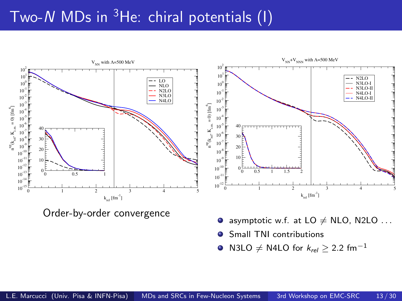## Two-N MDs in He: chiral potentials (1)

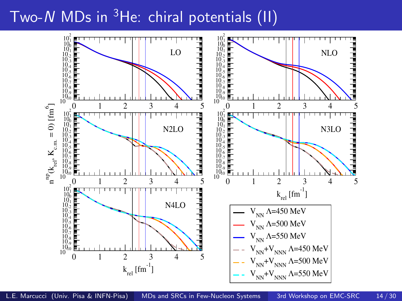### Two-N MDs in  $3$ He: chiral potentials (II)

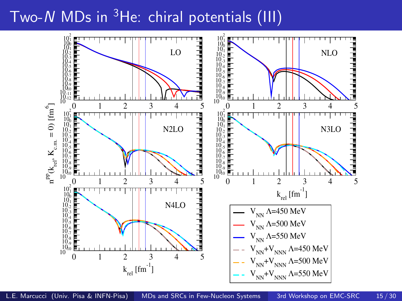### Two-N MDs in  $3$ He: chiral potentials (III)

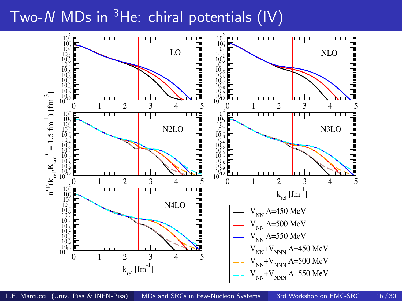### Two-N MDs in  ${}^{3}$ He: chiral potentials (IV)

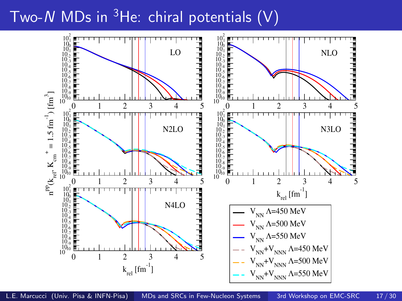### Two-N MDs in  $3$ He: chiral potentials  $(V)$

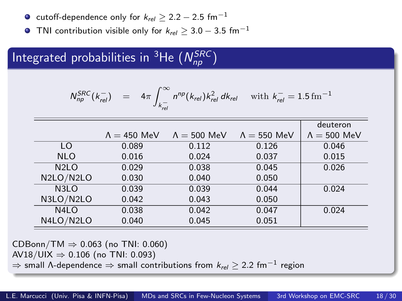- cutoff-dependence only for  $k_{rel} > 2.2 2.5$  fm<sup>-1</sup>
- O TNI contribution visible only for  $k_{rel} \geq 3.0 3.5$  fm<sup>-1</sup>

### Integrated probabilities in <sup>3</sup>He  $(N_{np}^{SRC})$

$$
N_{np}^{SRC}(k_{rel}^-) = 4\pi \int_{k_{rel}^-}^{\infty} n^{np}(k_{rel}) k_{rel}^2 dk_{rel} \text{ with } k_{rel}^- = 1.5 \,\text{fm}^{-1}
$$

|                   |                     |                     |                     | deuteron            |
|-------------------|---------------------|---------------------|---------------------|---------------------|
|                   | $\Lambda = 450$ MeV | $\Lambda = 500$ MeV | $\Lambda = 550$ MeV | $\Lambda = 500$ MeV |
| LO                | 0.089               | 0.112               | 0.126               | 0.046               |
| <b>NLO</b>        | 0.016               | 0.024               | 0.037               | 0.015               |
| N <sub>2</sub> LO | 0.029               | 0.038               | 0.045               | 0.026               |
| N2LO/N2LO         | 0.030               | 0.040               | 0.050               |                     |
| N <sub>3</sub> LO | 0.039               | 0.039               | 0.044               | 0.024               |
| N3LO/N2LO         | 0.042               | 0.043               | 0.050               |                     |
| N <sub>4</sub> LO | 0.038               | 0.042               | 0.047               | 0.024               |
| N4LO/N2LO         | 0.040               | 0.045               | 0.051               |                     |

CDBonn/TM  $\Rightarrow$  0.063 (no TNI: 0.060)

AV18/UIX  $⇒ 0.106$  (no TNI: 0.093)

 $\Rightarrow$  small  $\Lambda$ -dependence  $\Rightarrow$  small contributions from  $k_{\mathsf{rel}} \geq 2.2$  fm $^{-1}$  region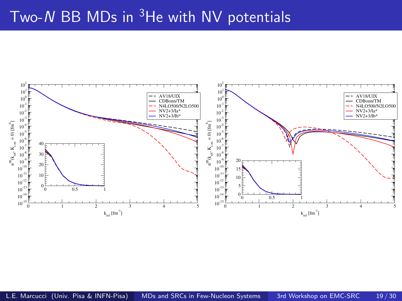### Two-N BB MDs in He with NV potentials

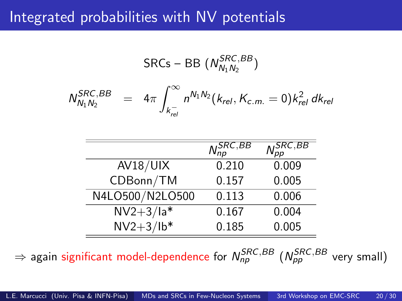#### Integrated probabilities with NV potentials

$$
\text{SRCs} - \text{BB} \left( N_{N_1 N_2}^{SRC, BB} \right)
$$

$$
N_{N_1N_2}^{SRC,BB} = 4\pi \int_{k_{rel}^-}^{\infty} n^{N_1N_2}(k_{rel}, K_{c.m.} = 0) k_{rel}^2 dk_{rel}
$$

|                 | $N_{np}^{SRC,\overline{BB}}$ | $\mathcal{N}^{\widetilde{SRC},\overline{BB}}_{pp}$ |
|-----------------|------------------------------|----------------------------------------------------|
| AV18/UIX        | 0.210                        | 0.009                                              |
| CDBonn/TM       | 0.157                        | 0.005                                              |
| N4LO500/N2LO500 | 0.113                        | 0.006                                              |
| $NV2+3/1a*$     | 0.167                        | 0.004                                              |
| $NV2+3/lb*$     | 0.185                        | 0.005                                              |

 $\Rightarrow$  again significant model-dependence for  $\mathcal{N}^{SRC,BB}_{np}$   $(\mathcal{N}^{SRC,BB}_{pp}$  very small)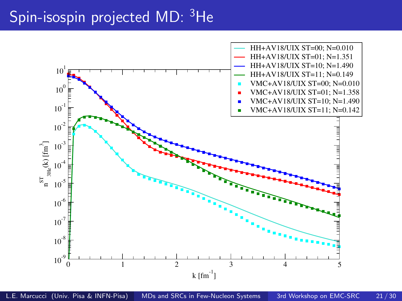# Spin-isospin projected MD: <sup>3</sup>He

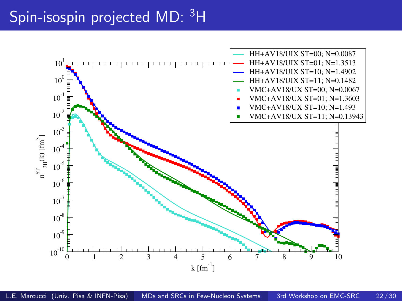# Spin-isospin projected MD: <sup>3</sup>H

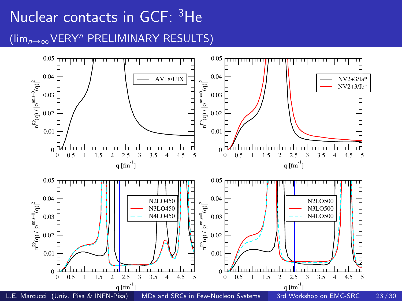# Nuclear contacts in GCF: <sup>3</sup>He (limn→∞VERY<sup>n</sup> PRELIMINARY RESULTS)

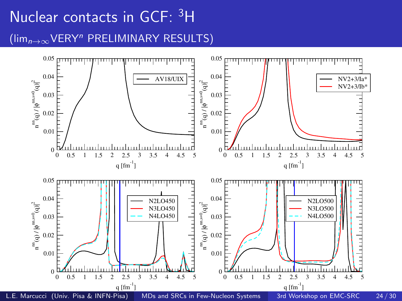# Nuclear contacts in GCF: <sup>3</sup>H (limn→∞VERY<sup>n</sup> PRELIMINARY RESULTS)

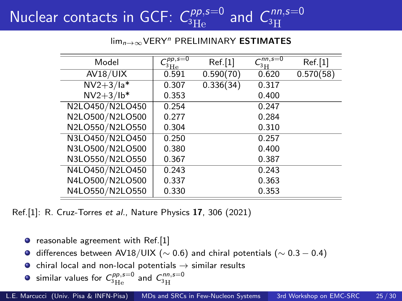#### Nuclear contacts in GCF:  $\mathcal{C}^{pp,s=0}_{^3\text{He}}$  and  $C$  $nn,s=0$ <sup>3</sup>H

lim<sub>n→∞</sub>VERY<sup>n</sup> PRELIMINARY **ESTIMATES** 

| Model           | $\overline{C_{^3\rm He}^{pp,s=0}}$ | Ref.[1]   | $\sqrt{nn, s=0}$<br>3H | Ref.[1]   |
|-----------------|------------------------------------|-----------|------------------------|-----------|
| AV18/UIX        | 0.591                              | 0.590(70) | 0.620                  | 0.570(58) |
| $NV2+3/1a*$     | 0.307                              | 0.336(34) | 0.317                  |           |
| $NV2+3/lb*$     | 0.353                              |           | 0.400                  |           |
| N2LO450/N2LO450 | 0.254                              |           | 0.247                  |           |
| N2LO500/N2LO500 | 0.277                              |           | 0.284                  |           |
| N2LO550/N2LO550 | 0.304                              |           | 0.310                  |           |
| N3LO450/N2LO450 | 0.250                              |           | 0.257                  |           |
| N3LO500/N2LO500 | 0.380                              |           | 0.400                  |           |
| N3LO550/N2LO550 | 0.367                              |           | 0.387                  |           |
| N4LO450/N2LO450 | 0.243                              |           | 0.243                  |           |
| N4LO500/N2LO500 | 0.337                              |           | 0.363                  |           |
| N4LO550/N2LO550 | 0.330                              |           | 0.353                  |           |

Ref.[1]: R. Cruz-Torres et al., Nature Physics 17, 306 (2021)

- $\bullet$  reasonable agreement with Ref.[1]
- $\bullet$  differences between AV18/UIX ( $\sim$  0.6) and chiral potentials ( $\sim$  0.3 − 0.4)
- $\bullet$  chiral local and non-local potentials  $\rightarrow$  similar results
- similar values for  $\mathcal{C}_{^3\text{He}}^{pp,s=0}$  and  $\mathcal{C}_{^3\text{H}}^{nn,s=0}$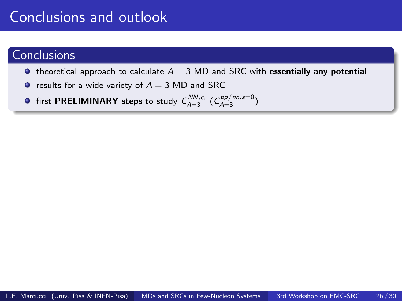### Conclusions and outlook

#### **Conclusions**

- $\bullet$  theoretical approach to calculate  $A = 3 \text{ MD}$  and SRC with essentially any potential
- results for a wide variety of  $A = 3$  MD and SRC
- first <code>PRELIMINARY</code> steps to study  $\mathcal{C}^{NN,\alpha}_{A=3}$   $(\mathcal{C}^{pp/nn,s=0}_{A=3})$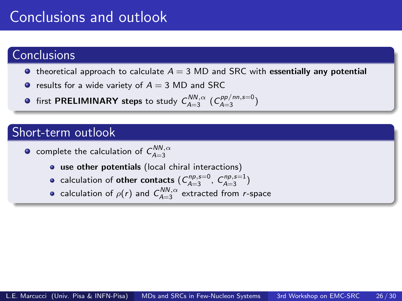### Conclusions and outlook

#### **Conclusions**

- $\bullet$  theoretical approach to calculate  $A = 3$  MD and SRC with essentially any potential
- results for a wide variety of  $A = 3$  MD and SRC
- first <code>PRELIMINARY</code> steps to study  $\mathcal{C}^{NN,\alpha}_{A=3}$   $(\mathcal{C}^{pp/nn,s=0}_{A=3})$

#### Short-term outlook

- complete the calculation of  $\mathcal{C}^{NN,\alpha}_{A=3}$ 
	- use other potentials (local chiral interactions)
	- calculation of **other contacts**  $(C_{A=3}^{np,s=0}, C_{A=3}^{np,s=1})$
	- calculation of  $\rho(r)$  and  $\textit{C}_{A=3}^{\textit{NN},\alpha}$  extracted from  $r$ -space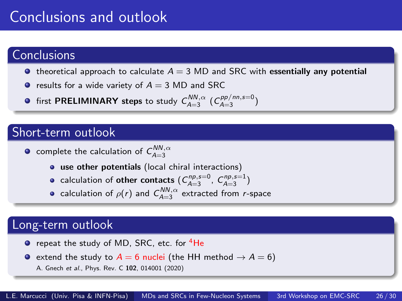### Conclusions and outlook

#### **Conclusions**

- $\bullet$  theoretical approach to calculate  $A = 3$  MD and SRC with essentially any potential
- results for a wide variety of  $A = 3$  MD and SRC
- first <code>PRELIMINARY</code> steps to study  $\mathcal{C}^{NN,\alpha}_{A=3}$   $(\mathcal{C}^{pp/nn,s=0}_{A=3})$

#### Short-term outlook

- complete the calculation of  $\mathcal{C}^{NN,\alpha}_{A=3}$ 
	- use other potentials (local chiral interactions)
	- calculation of **other contacts**  $(C_{A=3}^{np,s=0}, C_{A=3}^{np,s=1})$
	- calculation of  $\rho(r)$  and  $\textit{C}_{A=3}^{\textit{NN},\alpha}$  extracted from  $r$ -space

#### Long-term outlook

- **•** repeat the study of MD, SRC, etc. for <sup>4</sup>He
- extend the study to  $A = 6$  nuclei (the HH method  $\rightarrow A = 6$ )
	- A. Gnech et al., Phys. Rev. C 102, 014001 (2020)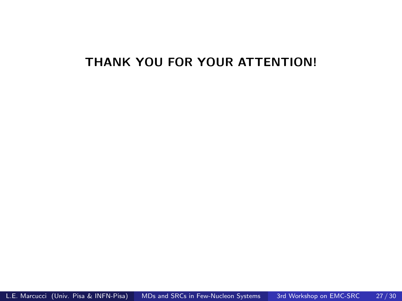#### THANK YOU FOR YOUR ATTENTION!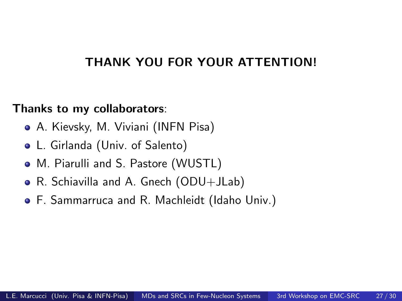#### THANK YOU FOR YOUR ATTENTION!

#### Thanks to my collaborators:

- A. Kievsky, M. Viviani (INFN Pisa)
- L. Girlanda (Univ. of Salento)
- M. Piarulli and S. Pastore (WUSTL)
- R. Schiavilla and A. Gnech (ODU+JLab)
- F. Sammarruca and R. Machleidt (Idaho Univ.)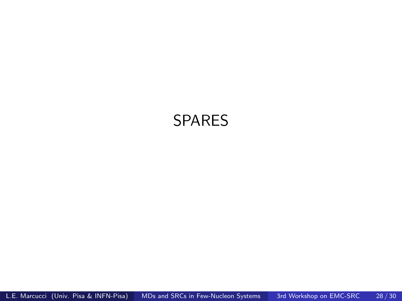#### SPARES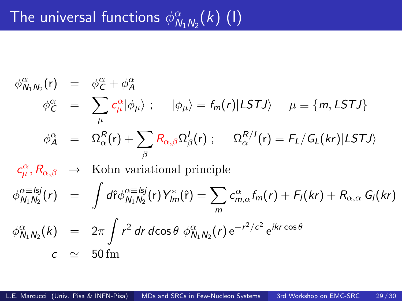$$
\phi_{N_1N_2}^{\alpha}(r) = \phi_C^{\alpha} + \phi_A^{\alpha}
$$
\n
$$
\phi_C^{\alpha} = \sum_{\mu} c_{\mu}^{\alpha} |\phi_{\mu}\rangle; \quad |\phi_{\mu}\rangle = f_m(r)|LSTJ\rangle \quad \mu \equiv \{m, LSTJ\}
$$
\n
$$
\phi_A^{\alpha} = \Omega_{\alpha}^R(r) + \sum_{\beta} R_{\alpha,\beta} \Omega_{\beta}^I(r); \quad \Omega_{\alpha}^{R/I}(r) = F_L/G_L(kr)|LSTJ\rangle
$$
\n
$$
c_{\mu}^{\alpha}, R_{\alpha,\beta} \rightarrow \text{Kohn variational principle}
$$
\n
$$
\phi_{N_1N_2}^{\alpha \equiv lsj}(r) = \int d\hat{r} \phi_{N_1N_2}^{\alpha \equiv lsj}(r) Y_{lm}^*(\hat{r}) = \sum_{m} c_{m,\alpha}^{\alpha} f_m(r) + F_I(kr) + R_{\alpha,\alpha} G_I(kr)
$$
\n
$$
\phi_{N_1N_2}^{\alpha}(k) = 2\pi \int r^2 dr \, d\cos\theta \, \phi_{N_1N_2}^{\alpha}(r) e^{-r^2/c^2} e^{ikr\cos\theta}
$$
\n
$$
c \approx 50 \, \text{fm}
$$